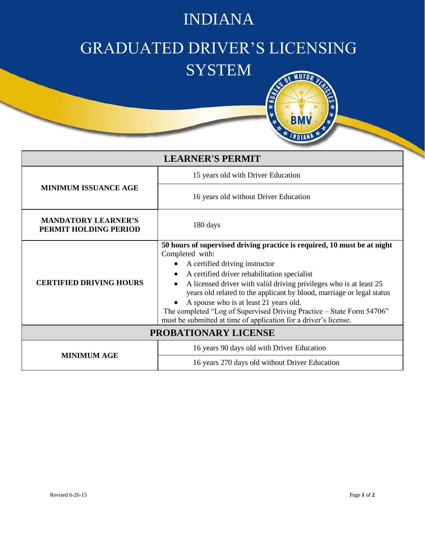## INDIANA

## GRADUATED DRIVER'S LICENSING **SYSTEM**



| <b>LEARNER'S PERMIT</b>                             |                                                                                                                                                                                                                                                                                                                                                                                                                                                                                                                     |
|-----------------------------------------------------|---------------------------------------------------------------------------------------------------------------------------------------------------------------------------------------------------------------------------------------------------------------------------------------------------------------------------------------------------------------------------------------------------------------------------------------------------------------------------------------------------------------------|
| <b>MINIMUM ISSUANCE AGE</b>                         | 15 years old with Driver Education                                                                                                                                                                                                                                                                                                                                                                                                                                                                                  |
|                                                     | 16 years old without Driver Education                                                                                                                                                                                                                                                                                                                                                                                                                                                                               |
| <b>MANDATORY LEARNER'S</b><br>PERMIT HOLDING PERIOD | 180 days                                                                                                                                                                                                                                                                                                                                                                                                                                                                                                            |
| <b>CERTIFIED DRIVING HOURS</b>                      | 50 hours of supervised driving practice is required, 10 must be at night<br>Completed with:<br>A certified driving instructor<br>A certified driver rehabilitation specialist<br>A licensed driver with valid driving privileges who is at least 25<br>years old related to the applicant by blood, marriage or legal status<br>A spouse who is at least 21 years old.<br>The completed "Log of Supervised Driving Practice - State Form 54706"<br>must be submitted at time of application for a driver's license. |
| PROBATIONARY LICENSE                                |                                                                                                                                                                                                                                                                                                                                                                                                                                                                                                                     |
| <b>MINIMUM AGE</b>                                  | 16 years 90 days old with Driver Education                                                                                                                                                                                                                                                                                                                                                                                                                                                                          |
|                                                     | 16 years 270 days old without Driver Education                                                                                                                                                                                                                                                                                                                                                                                                                                                                      |